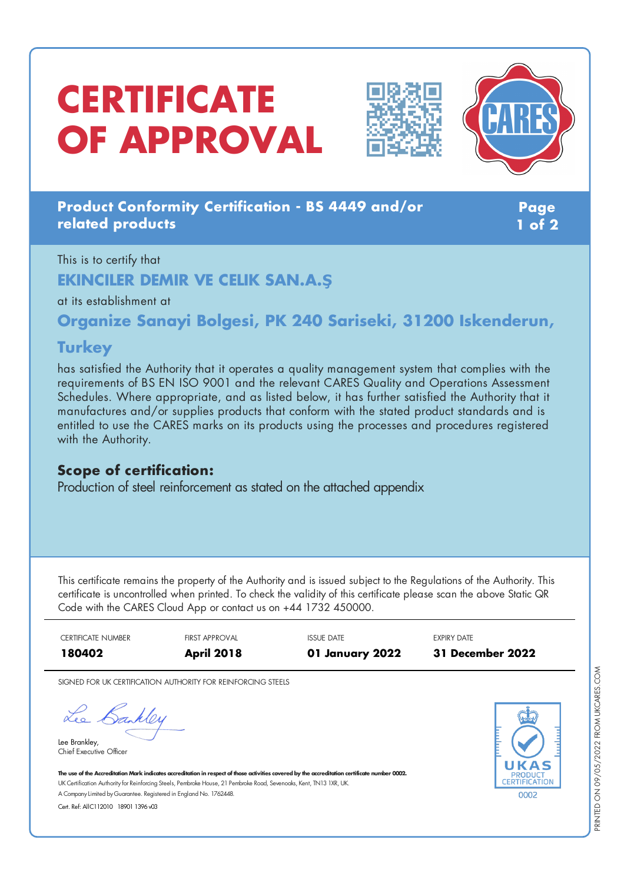# **CERTIFICATE OF APPROVAL**





### **Product Conformity Certification - BS 4449 and/or related products**

**Page 1 of 2**

# This is to certify that **EKINCILER DEMIR VE CELIK SAN.A.Ş**

at its establishment at

**Organize Sanayi Bolgesi, PK 240 Sariseki, 31200 Iskenderun,**

### **Turkey**

has satisfied the Authority that it operates a quality management system that complies with the requirements of BS EN ISO 9001 and the relevant CARES Quality and Operations Assessment Schedules. Where appropriate, and as listed below, it has further satisfied the Authority that it manufactures and/or supplies products that conform with the stated product standards and is entitled to use the CARES marks on its products using the processes and procedures registered with the Authority.

#### **Scope of certification:**

Production of steel reinforcement as stated on the attached appendix

This certificate remains the property of the Authority and is issued subject to the Regulations of the Authority. This certificate is uncontrolled when printed. To check the validity of this certificate please scan the above Static QR Code with the CARES Cloud App or contact us on +44 1732 450000.

CERTIFICATE NUMBER FIRST APPROVAL ISSUE DATE EXPIRY DATE **180402 April 2018 01 January 2022 31 December 2022**

SIGNED FOR UK CERTIFICATION AUTHORITY FOR REINFORCING STEELS

Lee Bankley

Lee Brankley, Chief Executive Officer



The use of the Accreditation Mark indicates accreditation in respect of those activities covered by the accreditation certificate number 0002. UK Certification Authority for Reinforcing Steels, Pembroke House, 21 Pembroke Road, Sevenoaks, Kent, TN13 1XR, UK. A CompanyLimited byGuarantee. Registered in England No. 1762448.

Cert. Ref: AllC112010 18901 1396 v03